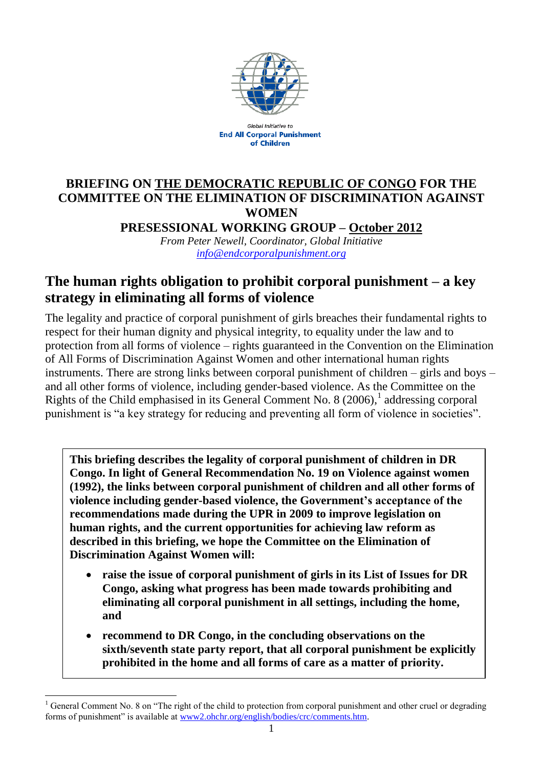

**Global Initiative to End All Corporal Punishment** of Children

# **BRIEFING ON THE DEMOCRATIC REPUBLIC OF CONGO FOR THE COMMITTEE ON THE ELIMINATION OF DISCRIMINATION AGAINST WOMEN**

**PRESESSIONAL WORKING GROUP – October 2012** *From Peter Newell, Coordinator, Global Initiative*

*[info@endcorporalpunishment.org](mailto:info@endcorporalpunishment.org)*

## **The human rights obligation to prohibit corporal punishment – a key strategy in eliminating all forms of violence**

The legality and practice of corporal punishment of girls breaches their fundamental rights to respect for their human dignity and physical integrity, to equality under the law and to protection from all forms of violence – rights guaranteed in the Convention on the Elimination of All Forms of Discrimination Against Women and other international human rights instruments. There are strong links between corporal punishment of children – girls and boys – and all other forms of violence, including gender-based violence. As the Committee on the Rights of the Child emphasised in its General Comment No. 8  $(2006)$ ,<sup>1</sup> addressing corporal punishment is "a key strategy for reducing and preventing all form of violence in societies".

**This briefing describes the legality of corporal punishment of children in DR Congo. In light of General Recommendation No. 19 on Violence against women (1992), the links between corporal punishment of children and all other forms of violence including gender-based violence, the Government's acceptance of the recommendations made during the UPR in 2009 to improve legislation on human rights, and the current opportunities for achieving law reform as described in this briefing, we hope the Committee on the Elimination of Discrimination Against Women will:**

- **raise the issue of corporal punishment of girls in its List of Issues for DR Congo, asking what progress has been made towards prohibiting and eliminating all corporal punishment in all settings, including the home, and**
- **recommend to DR Congo, in the concluding observations on the sixth/seventh state party report, that all corporal punishment be explicitly prohibited in the home and all forms of care as a matter of priority.**

 $\overline{a}$ <sup>1</sup> General Comment No. 8 on "The right of the child to protection from corporal punishment and other cruel or degrading forms of punishment" is available at [www2.ohchr.org/english/bodies/crc/comments.htm.](http://www.ohchr.org/english/bodies/crc/comments.htm)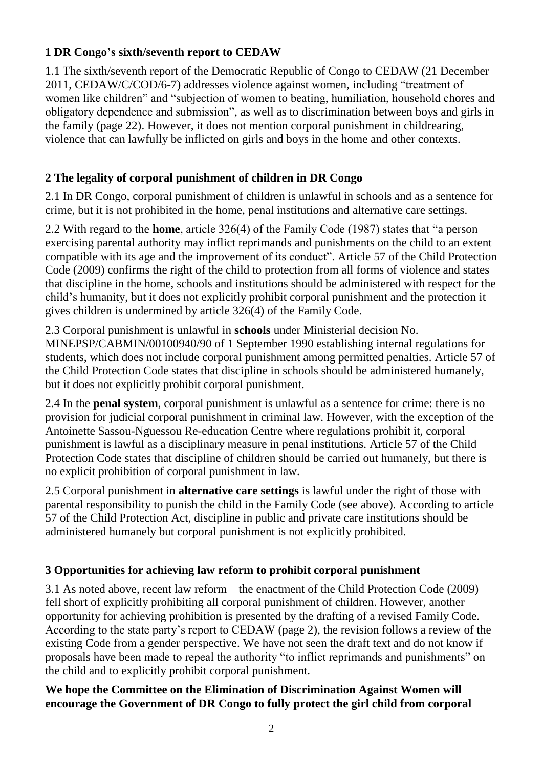### **1 DR Congo's sixth/seventh report to CEDAW**

1.1 The sixth/seventh report of the Democratic Republic of Congo to CEDAW (21 December 2011, CEDAW/C/COD/6-7) addresses violence against women, including "treatment of women like children" and "subjection of women to beating, humiliation, household chores and obligatory dependence and submission", as well as to discrimination between boys and girls in the family (page 22). However, it does not mention corporal punishment in childrearing, violence that can lawfully be inflicted on girls and boys in the home and other contexts.

## **2 The legality of corporal punishment of children in DR Congo**

2.1 In DR Congo, corporal punishment of children is unlawful in schools and as a sentence for crime, but it is not prohibited in the home, penal institutions and alternative care settings.

2.2 With regard to the **home**, article 326(4) of the Family Code (1987) states that "a person exercising parental authority may inflict reprimands and punishments on the child to an extent compatible with its age and the improvement of its conduct". Article 57 of the Child Protection Code (2009) confirms the right of the child to protection from all forms of violence and states that discipline in the home, schools and institutions should be administered with respect for the child's humanity, but it does not explicitly prohibit corporal punishment and the protection it gives children is undermined by article 326(4) of the Family Code.

2.3 Corporal punishment is unlawful in **schools** under Ministerial decision No. MINEPSP/CABMIN/00100940/90 of 1 September 1990 establishing internal regulations for students, which does not include corporal punishment among permitted penalties. Article 57 of the Child Protection Code states that discipline in schools should be administered humanely, but it does not explicitly prohibit corporal punishment.

2.4 In the **penal system**, corporal punishment is unlawful as a sentence for crime: there is no provision for judicial corporal punishment in criminal law. However, with the exception of the Antoinette Sassou-Nguessou Re-education Centre where regulations prohibit it, corporal punishment is lawful as a disciplinary measure in penal institutions. Article 57 of the Child Protection Code states that discipline of children should be carried out humanely, but there is no explicit prohibition of corporal punishment in law.

2.5 Corporal punishment in **alternative care settings** is lawful under the right of those with parental responsibility to punish the child in the Family Code (see above). According to article 57 of the Child Protection Act, discipline in public and private care institutions should be administered humanely but corporal punishment is not explicitly prohibited.

## **3 Opportunities for achieving law reform to prohibit corporal punishment**

3.1 As noted above, recent law reform – the enactment of the Child Protection Code (2009) – fell short of explicitly prohibiting all corporal punishment of children. However, another opportunity for achieving prohibition is presented by the drafting of a revised Family Code. According to the state party's report to CEDAW (page 2), the revision follows a review of the existing Code from a gender perspective. We have not seen the draft text and do not know if proposals have been made to repeal the authority "to inflict reprimands and punishments" on the child and to explicitly prohibit corporal punishment.

### **We hope the Committee on the Elimination of Discrimination Against Women will encourage the Government of DR Congo to fully protect the girl child from corporal**